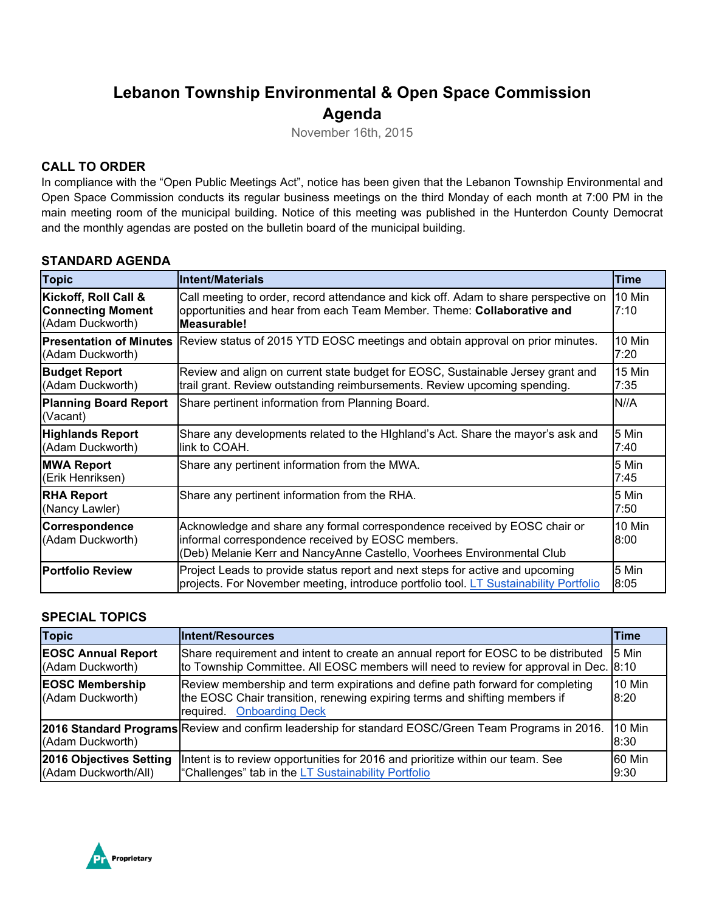# **Lebanon Township Environmental & Open Space Commission Agenda**

November 16th, 2015

## **CALL TO ORDER**

In compliance with the "Open Public Meetings Act", notice has been given that the Lebanon Township Environmental and Open Space Commission conducts its regular business meetings on the third Monday of each month at 7:00 PM in the main meeting room of the municipal building. Notice of this meeting was published in the Hunterdon County Democrat and the monthly agendas are posted on the bulletin board of the municipal building.

#### **STANDARD AGENDA**

| <b>Topic</b>                                                         | lIntent/Materials                                                                                                                                                                                        | <b>Time</b>    |
|----------------------------------------------------------------------|----------------------------------------------------------------------------------------------------------------------------------------------------------------------------------------------------------|----------------|
| Kickoff, Roll Call &<br><b>Connecting Moment</b><br>(Adam Duckworth) | Call meeting to order, record attendance and kick off. Adam to share perspective on<br>opportunities and hear from each Team Member. Theme: Collaborative and<br><b>Measurable!</b>                      | 10 Min<br>7:10 |
| <b>Presentation of Minutes</b><br>(Adam Duckworth)                   | Review status of 2015 YTD EOSC meetings and obtain approval on prior minutes.                                                                                                                            | 10 Min<br>7:20 |
| <b>Budget Report</b><br>(Adam Duckworth)                             | Review and align on current state budget for EOSC, Sustainable Jersey grant and<br>trail grant. Review outstanding reimbursements. Review upcoming spending.                                             | 15 Min<br>7:35 |
| <b>Planning Board Report</b><br>(Vacant)                             | Share pertinent information from Planning Board.                                                                                                                                                         | IN//A          |
| <b>Highlands Report</b><br>(Adam Duckworth)                          | Share any developments related to the Highland's Act. Share the mayor's ask and<br>link to COAH.                                                                                                         | 5 Min<br>7:40  |
| <b>MWA Report</b><br>(Erik Henriksen)                                | Share any pertinent information from the MWA.                                                                                                                                                            | 5 Min<br>7:45  |
| <b>RHA Report</b><br>(Nancy Lawler)                                  | Share any pertinent information from the RHA.                                                                                                                                                            | 5 Min<br>7:50  |
| Correspondence<br>(Adam Duckworth)                                   | Acknowledge and share any formal correspondence received by EOSC chair or<br>informal correspondence received by EOSC members.<br>(Deb) Melanie Kerr and NancyAnne Castello, Voorhees Environmental Club | 10 Min<br>8:00 |
| <b>Portfolio Review</b>                                              | Project Leads to provide status report and next steps for active and upcoming<br>projects. For November meeting, introduce portfolio tool. LT Sustainability Portfolio                                   | 5 Min<br>8:05  |

### **SPECIAL TOPICS**

| <b>Topic</b>                                    | <b>Intent/Resources</b>                                                                                                                                                                            | <b>Time</b>     |
|-------------------------------------------------|----------------------------------------------------------------------------------------------------------------------------------------------------------------------------------------------------|-----------------|
| <b>EOSC Annual Report</b><br>(Adam Duckworth)   | Share requirement and intent to create an annual report for EOSC to be distributed<br>to Township Committee. All EOSC members will need to review for approval in Dec. 8:10                        | 5 Min           |
| <b>EOSC Membership</b><br>(Adam Duckworth)      | Review membership and term expirations and define path forward for completing<br>the EOSC Chair transition, renewing expiring terms and shifting members if<br><b>Onboarding Deck</b><br>required. | 10 Min<br>8:20  |
| (Adam Duckworth)                                | 2016 Standard Programs Review and confirm leadership for standard EOSC/Green Team Programs in 2016.                                                                                                | 10 Min<br>8:30  |
| 2016 Objectives Setting<br>(Adam Duckworth/All) | Intent is to review opportunities for 2016 and prioritize within our team. See<br>"Challenges" tab in the LT Sustainability Portfolio                                                              | 60 Min<br>19:30 |

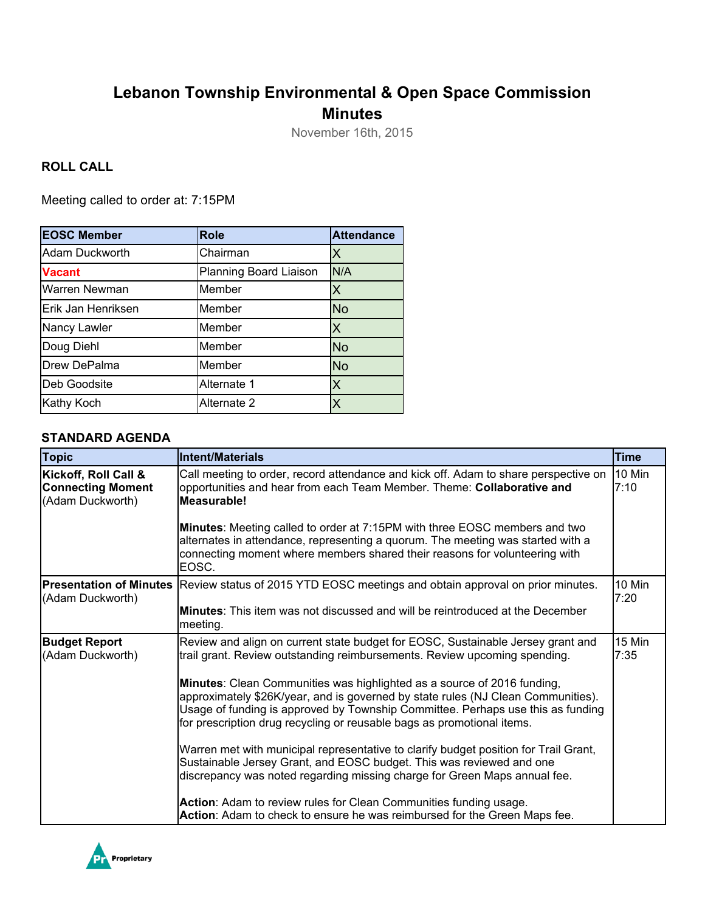# **Lebanon Township Environmental & Open Space Commission Minutes**

November 16th, 2015

### **ROLL CALL**

Meeting called to order at: 7:15PM

| <b>EOSC Member</b> | <b>Role</b>            | <b>Attendance</b> |
|--------------------|------------------------|-------------------|
| Adam Duckworth     | Chairman               |                   |
| <b>Vacant</b>      | Planning Board Liaison | N/A               |
| Warren Newman      | Member                 |                   |
| Erik Jan Henriksen | Member                 | <b>No</b>         |
| Nancy Lawler       | Member                 |                   |
| Doug Diehl         | Member                 | <b>No</b>         |
| Drew DePalma       | Member                 | <b>No</b>         |
| Deb Goodsite       | Alternate 1            |                   |
| Kathy Koch         | Alternate 2            |                   |

#### **STANDARD AGENDA**

| <b>Topic</b>                                                         | Intent/Materials                                                                                                                                                                                                                                                                                                         | <b>Time</b> |  |  |  |  |  |
|----------------------------------------------------------------------|--------------------------------------------------------------------------------------------------------------------------------------------------------------------------------------------------------------------------------------------------------------------------------------------------------------------------|-------------|--|--|--|--|--|
| Kickoff, Roll Call &<br><b>Connecting Moment</b><br>(Adam Duckworth) | Call meeting to order, record attendance and kick off. Adam to share perspective on<br>opportunities and hear from each Team Member. Theme: Collaborative and<br>Measurable!                                                                                                                                             |             |  |  |  |  |  |
|                                                                      | <b>Minutes:</b> Meeting called to order at 7:15PM with three EOSC members and two<br>alternates in attendance, representing a quorum. The meeting was started with a<br>connecting moment where members shared their reasons for volunteering with<br>EOSC.                                                              |             |  |  |  |  |  |
| (Adam Duckworth)                                                     | <b>Presentation of Minutes</b> Review status of 2015 YTD EOSC meetings and obtain approval on prior minutes.                                                                                                                                                                                                             |             |  |  |  |  |  |
|                                                                      | <b>Minutes:</b> This item was not discussed and will be reintroduced at the December<br>meeting.                                                                                                                                                                                                                         |             |  |  |  |  |  |
| <b>Budget Report</b><br>(Adam Duckworth)                             | Review and align on current state budget for EOSC, Sustainable Jersey grant and<br>trail grant. Review outstanding reimbursements. Review upcoming spending.                                                                                                                                                             |             |  |  |  |  |  |
|                                                                      | Minutes: Clean Communities was highlighted as a source of 2016 funding,<br>approximately \$26K/year, and is governed by state rules (NJ Clean Communities).<br>Usage of funding is approved by Township Committee. Perhaps use this as funding<br>for prescription drug recycling or reusable bags as promotional items. |             |  |  |  |  |  |
|                                                                      | Warren met with municipal representative to clarify budget position for Trail Grant,<br>Sustainable Jersey Grant, and EOSC budget. This was reviewed and one<br>discrepancy was noted regarding missing charge for Green Maps annual fee.                                                                                |             |  |  |  |  |  |
|                                                                      | Action: Adam to review rules for Clean Communities funding usage.<br>Action: Adam to check to ensure he was reimbursed for the Green Maps fee.                                                                                                                                                                           |             |  |  |  |  |  |

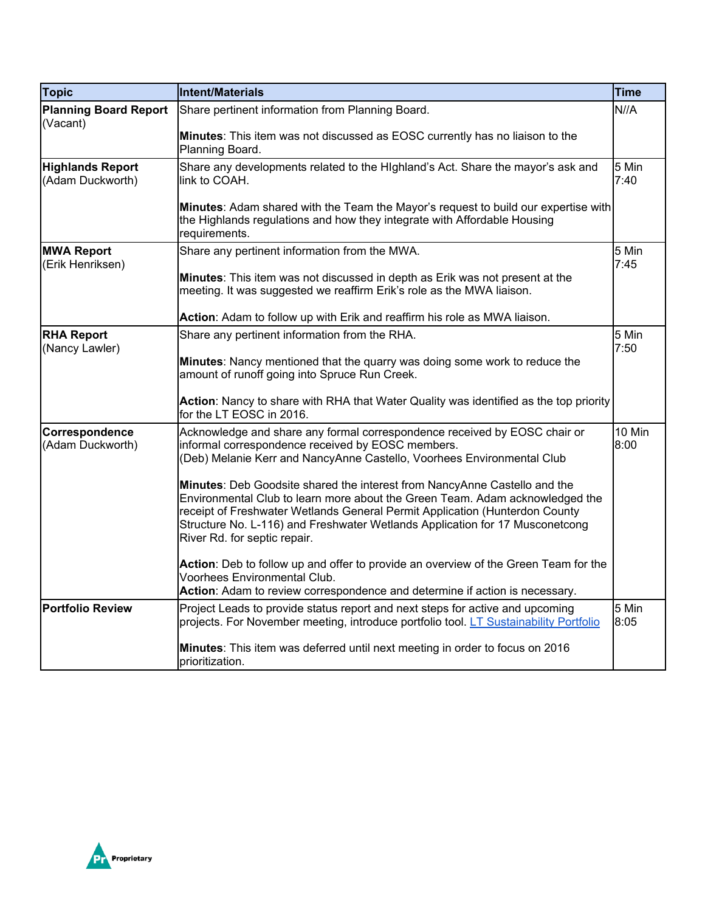| <b>Topic</b>                                | Intent/Materials                                                                                                                                                                                                                                                                                                                                         | Time           |  |  |
|---------------------------------------------|----------------------------------------------------------------------------------------------------------------------------------------------------------------------------------------------------------------------------------------------------------------------------------------------------------------------------------------------------------|----------------|--|--|
| <b>Planning Board Report</b><br>(Vacant)    | Share pertinent information from Planning Board.                                                                                                                                                                                                                                                                                                         |                |  |  |
|                                             | Minutes: This item was not discussed as EOSC currently has no liaison to the<br>Planning Board.                                                                                                                                                                                                                                                          |                |  |  |
| <b>Highlands Report</b><br>(Adam Duckworth) | Share any developments related to the Highland's Act. Share the mayor's ask and<br>link to COAH.                                                                                                                                                                                                                                                         | 5 Min<br>7:40  |  |  |
|                                             | Minutes: Adam shared with the Team the Mayor's request to build our expertise with<br>the Highlands regulations and how they integrate with Affordable Housing<br>requirements.                                                                                                                                                                          |                |  |  |
| <b>MWA Report</b><br>(Erik Henriksen)       | Share any pertinent information from the MWA.                                                                                                                                                                                                                                                                                                            | 5 Min<br>7:45  |  |  |
|                                             | <b>Minutes:</b> This item was not discussed in depth as Erik was not present at the<br>meeting. It was suggested we reaffirm Erik's role as the MWA liaison.                                                                                                                                                                                             |                |  |  |
|                                             | Action: Adam to follow up with Erik and reaffirm his role as MWA liaison.                                                                                                                                                                                                                                                                                |                |  |  |
| <b>RHA Report</b><br>(Nancy Lawler)         | Share any pertinent information from the RHA.                                                                                                                                                                                                                                                                                                            | 5 Min<br>7:50  |  |  |
|                                             | Minutes: Nancy mentioned that the quarry was doing some work to reduce the<br>amount of runoff going into Spruce Run Creek.                                                                                                                                                                                                                              |                |  |  |
|                                             | Action: Nancy to share with RHA that Water Quality was identified as the top priority<br>for the LT EOSC in 2016.                                                                                                                                                                                                                                        |                |  |  |
| Correspondence<br>(Adam Duckworth)          | Acknowledge and share any formal correspondence received by EOSC chair or<br>informal correspondence received by EOSC members.<br>(Deb) Melanie Kerr and NancyAnne Castello, Voorhees Environmental Club                                                                                                                                                 | 10 Min<br>8:00 |  |  |
|                                             | Minutes: Deb Goodsite shared the interest from NancyAnne Castello and the<br>Environmental Club to learn more about the Green Team. Adam acknowledged the<br>receipt of Freshwater Wetlands General Permit Application (Hunterdon County<br>Structure No. L-116) and Freshwater Wetlands Application for 17 Musconetcong<br>River Rd. for septic repair. |                |  |  |
|                                             | Action: Deb to follow up and offer to provide an overview of the Green Team for the<br>Voorhees Environmental Club.<br>Action: Adam to review correspondence and determine if action is necessary.                                                                                                                                                       |                |  |  |
| <b>Portfolio Review</b>                     | Project Leads to provide status report and next steps for active and upcoming<br>projects. For November meeting, introduce portfolio tool. LT Sustainability Portfolio                                                                                                                                                                                   | 5 Min<br>8:05  |  |  |
|                                             | Minutes: This item was deferred until next meeting in order to focus on 2016<br>prioritization.                                                                                                                                                                                                                                                          |                |  |  |

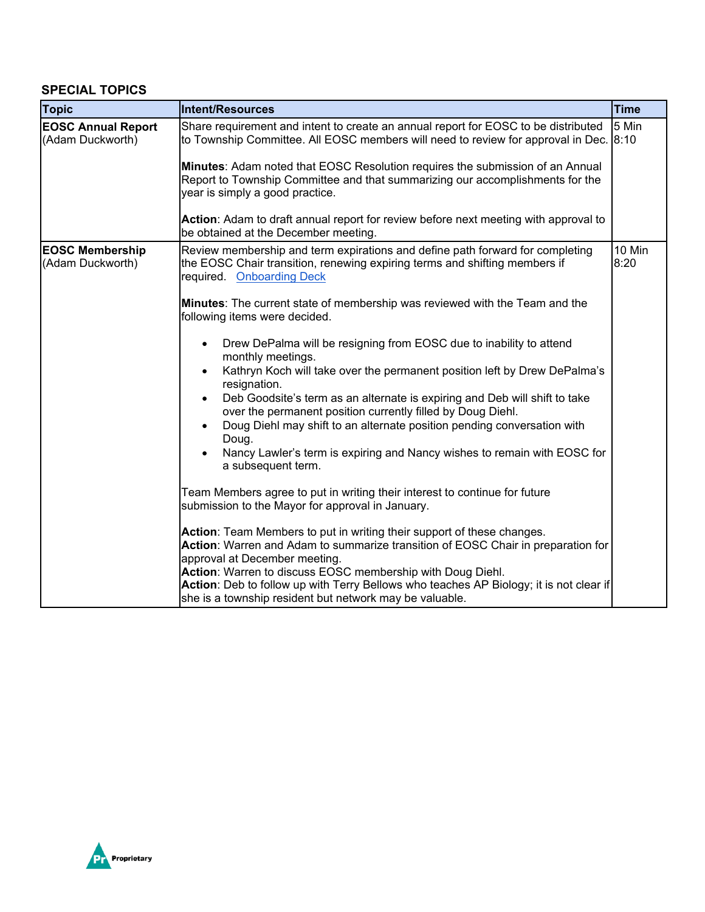## **SPECIAL TOPICS**

| <b>Topic</b>                                  | Intent/Resources                                                                                                                                                                                                                                                                                                                                                                                                                                                                                                                                                                                                                                                                                                                                                                                                                                                                                                                                                       | Time           |
|-----------------------------------------------|------------------------------------------------------------------------------------------------------------------------------------------------------------------------------------------------------------------------------------------------------------------------------------------------------------------------------------------------------------------------------------------------------------------------------------------------------------------------------------------------------------------------------------------------------------------------------------------------------------------------------------------------------------------------------------------------------------------------------------------------------------------------------------------------------------------------------------------------------------------------------------------------------------------------------------------------------------------------|----------------|
| <b>EOSC Annual Report</b><br>(Adam Duckworth) | Share requirement and intent to create an annual report for EOSC to be distributed<br>to Township Committee. All EOSC members will need to review for approval in Dec.<br>Minutes: Adam noted that EOSC Resolution requires the submission of an Annual<br>Report to Township Committee and that summarizing our accomplishments for the<br>year is simply a good practice.                                                                                                                                                                                                                                                                                                                                                                                                                                                                                                                                                                                            |                |
|                                               | Action: Adam to draft annual report for review before next meeting with approval to<br>be obtained at the December meeting.                                                                                                                                                                                                                                                                                                                                                                                                                                                                                                                                                                                                                                                                                                                                                                                                                                            |                |
| <b>EOSC Membership</b><br>(Adam Duckworth)    | Review membership and term expirations and define path forward for completing<br>the EOSC Chair transition, renewing expiring terms and shifting members if<br>required. Onboarding Deck<br>Minutes: The current state of membership was reviewed with the Team and the<br>following items were decided.<br>Drew DePalma will be resigning from EOSC due to inability to attend<br>monthly meetings.<br>Kathryn Koch will take over the permanent position left by Drew DePalma's<br>resignation.<br>Deb Goodsite's term as an alternate is expiring and Deb will shift to take<br>over the permanent position currently filled by Doug Diehl.<br>Doug Diehl may shift to an alternate position pending conversation with<br>Doug.<br>Nancy Lawler's term is expiring and Nancy wishes to remain with EOSC for<br>a subsequent term.<br>Team Members agree to put in writing their interest to continue for future<br>submission to the Mayor for approval in January. | 10 Min<br>8:20 |
|                                               | Action: Team Members to put in writing their support of these changes.<br>Action: Warren and Adam to summarize transition of EOSC Chair in preparation for<br>approval at December meeting.<br>Action: Warren to discuss EOSC membership with Doug Diehl.<br>Action: Deb to follow up with Terry Bellows who teaches AP Biology; it is not clear if<br>she is a township resident but network may be valuable.                                                                                                                                                                                                                                                                                                                                                                                                                                                                                                                                                         |                |

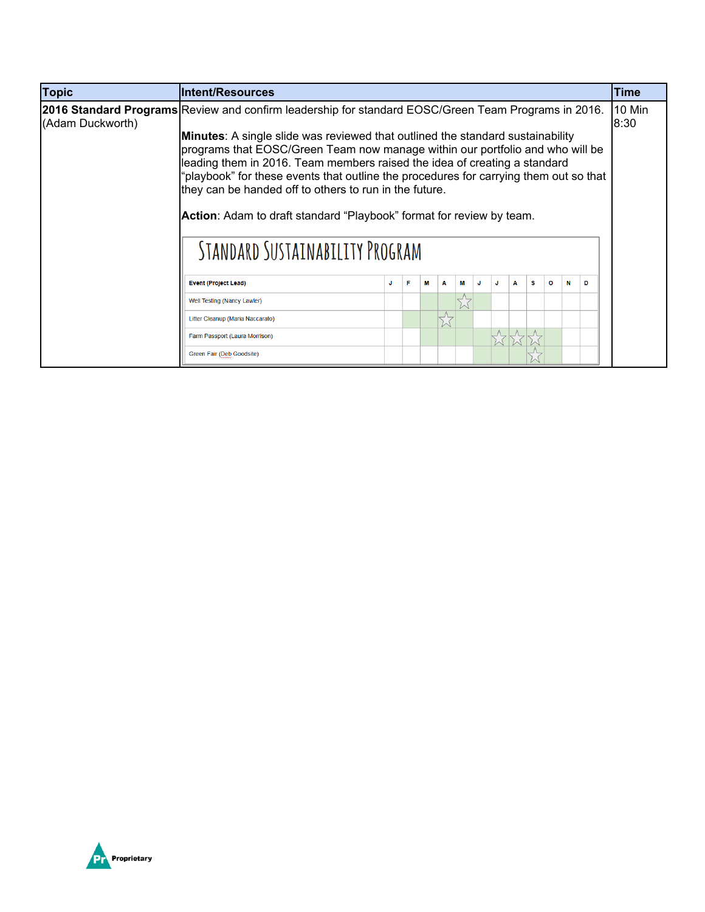| <b>Topic</b>     | <b>Intent/Resources</b>                                                                                                                                                                                                                                                                                                                                                                                                                                                                                           |  |   |   |   |   |  |    |   |   |   |                |   | <b>Time</b> |
|------------------|-------------------------------------------------------------------------------------------------------------------------------------------------------------------------------------------------------------------------------------------------------------------------------------------------------------------------------------------------------------------------------------------------------------------------------------------------------------------------------------------------------------------|--|---|---|---|---|--|----|---|---|---|----------------|---|-------------|
| (Adam Duckworth) | <b>2016 Standard Programs</b> Review and confirm leadership for standard EOSC/Green Team Programs in 2016.                                                                                                                                                                                                                                                                                                                                                                                                        |  |   |   |   |   |  |    |   |   |   | 10 Min<br>8:30 |   |             |
|                  | <b>Minutes:</b> A single slide was reviewed that outlined the standard sustainability<br>programs that EOSC/Green Team now manage within our portfolio and who will be<br>leading them in 2016. Team members raised the idea of creating a standard<br>"playbook" for these events that outline the procedures for carrying them out so that<br>they can be handed off to others to run in the future.<br>Action: Adam to draft standard "Playbook" format for review by team.<br>STANDARD SUSTAINABILITY PROGRAM |  |   |   |   |   |  |    |   |   |   |                |   |             |
|                  | <b>Event (Project Lead)</b>                                                                                                                                                                                                                                                                                                                                                                                                                                                                                       |  | F | м | Α | м |  | J. | А | s | o | N              | D |             |
|                  | Well Testing (Nancy Lawler)                                                                                                                                                                                                                                                                                                                                                                                                                                                                                       |  |   |   |   |   |  |    |   |   |   |                |   |             |
|                  | Litter Cleanup (Maria Naccarato)                                                                                                                                                                                                                                                                                                                                                                                                                                                                                  |  |   |   |   |   |  |    |   |   |   |                |   |             |
|                  | Farm Passport (Laura Morrison)                                                                                                                                                                                                                                                                                                                                                                                                                                                                                    |  |   |   |   |   |  |    |   |   |   |                |   |             |
|                  | Green Fair (Deb Goodsite)                                                                                                                                                                                                                                                                                                                                                                                                                                                                                         |  |   |   |   |   |  |    |   |   |   |                |   |             |